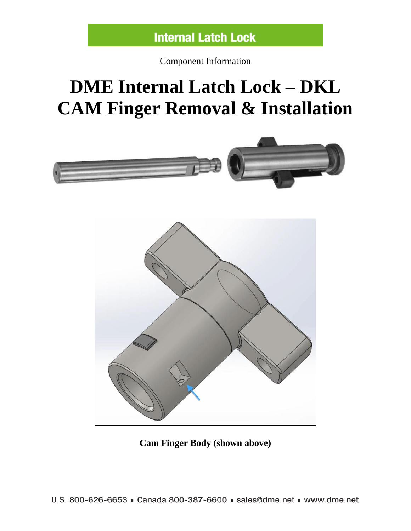Component Information

## **DME Internal Latch Lock – DKL CAM Finger Removal & Installation**





**Cam Finger Body (shown above)**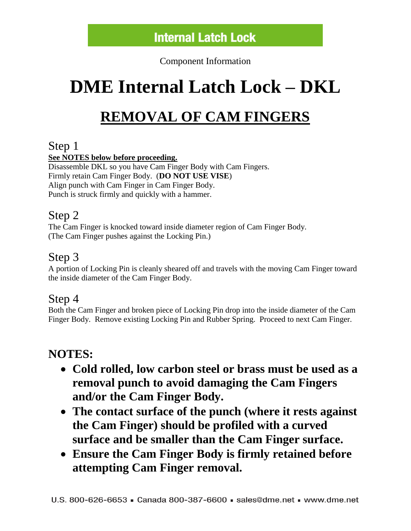Component Information

# **DME Internal Latch Lock – DKL**

## **REMOVAL OF CAM FINGERS**

#### Step 1

#### **See NOTES below before proceeding.**

Disassemble DKL so you have Cam Finger Body with Cam Fingers. Firmly retain Cam Finger Body. (**DO NOT USE VISE**) Align punch with Cam Finger in Cam Finger Body. Punch is struck firmly and quickly with a hammer.

#### Step 2

The Cam Finger is knocked toward inside diameter region of Cam Finger Body. (The Cam Finger pushes against the Locking Pin.)

### Step 3

A portion of Locking Pin is cleanly sheared off and travels with the moving Cam Finger toward the inside diameter of the Cam Finger Body.

### Step 4

Both the Cam Finger and broken piece of Locking Pin drop into the inside diameter of the Cam Finger Body. Remove existing Locking Pin and Rubber Spring. Proceed to next Cam Finger.

### **NOTES:**

- **Cold rolled, low carbon steel or brass must be used as a removal punch to avoid damaging the Cam Fingers and/or the Cam Finger Body.**
- **The contact surface of the punch (where it rests against the Cam Finger) should be profiled with a curved surface and be smaller than the Cam Finger surface.**
- **Ensure the Cam Finger Body is firmly retained before attempting Cam Finger removal.**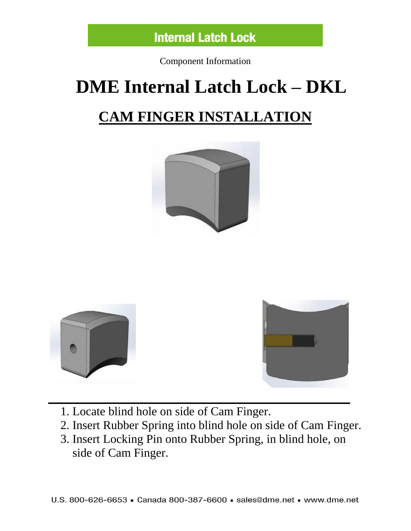

Component Information

# **DME Internal Latch Lock – DKL CAM FINGER INSTALLATION**







1. Locate blind hole on side of Cam Finger.

- 2. Insert Rubber Spring into blind hole on side of Cam Finger.
- 3. Insert Locking Pin onto Rubber Spring, in blind hole, on side of Cam Finger.